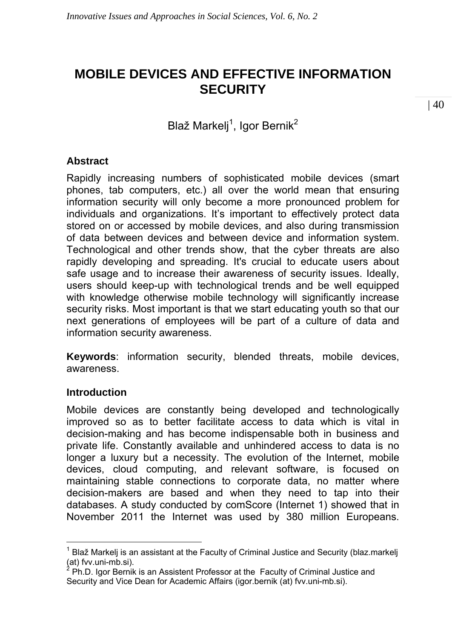# **MOBILE DEVICES AND EFFECTIVE INFORMATION SECURITY**

Blaž Markelj<sup>1</sup>, Igor Bernik<sup>2</sup>

# **Abstract**

Rapidly increasing numbers of sophisticated mobile devices (smart phones, tab computers, etc.) all over the world mean that ensuring information security will only become a more pronounced problem for individuals and organizations. It's important to effectively protect data stored on or accessed by mobile devices, and also during transmission of data between devices and between device and information system. Technological and other trends show, that the cyber threats are also rapidly developing and spreading. It's crucial to educate users about safe usage and to increase their awareness of security issues. Ideally, users should keep-up with technological trends and be well equipped with knowledge otherwise mobile technology will significantly increase security risks. Most important is that we start educating youth so that our next generations of employees will be part of a culture of data and information security awareness.

**Keywords**: information security, blended threats, mobile devices, awareness.

# **Introduction**

 $\overline{a}$ 

Mobile devices are constantly being developed and technologically improved so as to better facilitate access to data which is vital in decision-making and has become indispensable both in business and private life. Constantly available and unhindered access to data is no longer a luxury but a necessity. The evolution of the Internet, mobile devices, cloud computing, and relevant software, is focused on maintaining stable connections to corporate data, no matter where decision-makers are based and when they need to tap into their databases. A study conducted by comScore (Internet 1) showed that in November 2011 the Internet was used by 380 million Europeans.

<sup>1</sup> Blaž Markelj is an assistant at the Faculty of Criminal Justice and Security (blaz.markelj (at) fvv.uni-mb.si).<br><sup>2</sup> Ph.D. Iger Bernil

Ph.D. Igor Bernik is an Assistent Professor at the Faculty of Criminal Justice and Security and Vice Dean for Academic Affairs (igor.bernik (at) fvv.uni-mb.si).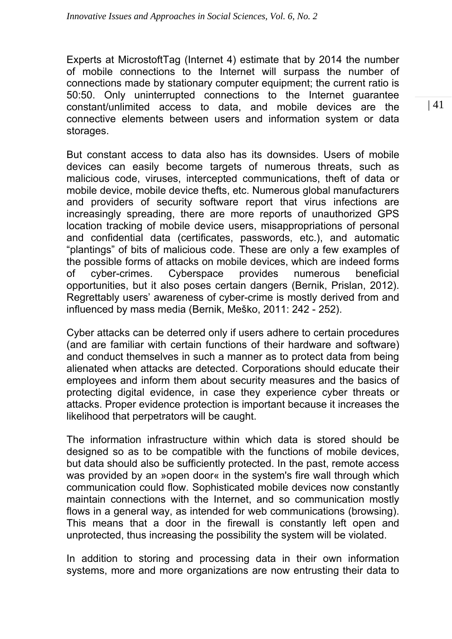Experts at MicrostoftTag (Internet 4) estimate that by 2014 the number of mobile connections to the Internet will surpass the number of connections made by stationary computer equipment; the current ratio is 50:50. Only uninterrupted connections to the Internet guarantee constant/unlimited access to data, and mobile devices are the connective elements between users and information system or data storages.

But constant access to data also has its downsides. Users of mobile devices can easily become targets of numerous threats, such as malicious code, viruses, intercepted communications, theft of data or mobile device, mobile device thefts, etc. Numerous global manufacturers and providers of security software report that virus infections are increasingly spreading, there are more reports of unauthorized GPS location tracking of mobile device users, misappropriations of personal and confidential data (certificates, passwords, etc.), and automatic "plantings" of bits of malicious code. These are only a few examples of the possible forms of attacks on mobile devices, which are indeed forms of cyber-crimes. Cyberspace provides numerous beneficial opportunities, but it also poses certain dangers (Bernik, Prislan, 2012). Regrettably users' awareness of cyber-crime is mostly derived from and influenced by mass media (Bernik, Meško, 2011: 242 - 252).

Cyber attacks can be deterred only if users adhere to certain procedures (and are familiar with certain functions of their hardware and software) and conduct themselves in such a manner as to protect data from being alienated when attacks are detected. Corporations should educate their employees and inform them about security measures and the basics of protecting digital evidence, in case they experience cyber threats or attacks. Proper evidence protection is important because it increases the likelihood that perpetrators will be caught.

The information infrastructure within which data is stored should be designed so as to be compatible with the functions of mobile devices, but data should also be sufficiently protected. In the past, remote access was provided by an »open door« in the system's fire wall through which communication could flow. Sophisticated mobile devices now constantly maintain connections with the Internet, and so communication mostly flows in a general way, as intended for web communications (browsing). This means that a door in the firewall is constantly left open and unprotected, thus increasing the possibility the system will be violated.

In addition to storing and processing data in their own information systems, more and more organizations are now entrusting their data to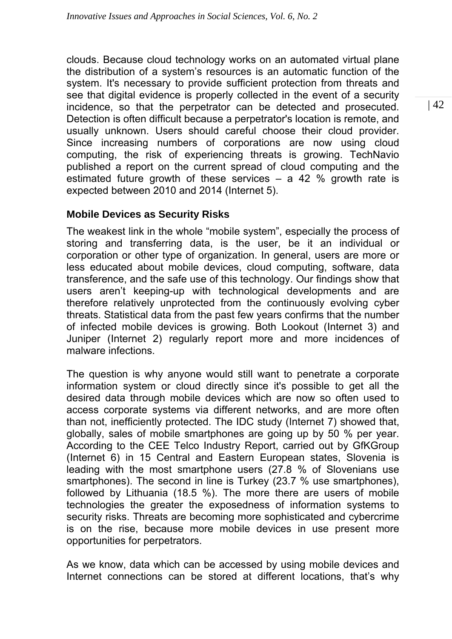clouds. Because cloud technology works on an automated virtual plane the distribution of a system's resources is an automatic function of the system. It's necessary to provide sufficient protection from threats and see that digital evidence is properly collected in the event of a security incidence, so that the perpetrator can be detected and prosecuted. Detection is often difficult because a perpetrator's location is remote, and usually unknown. Users should careful choose their cloud provider. Since increasing numbers of corporations are now using cloud computing, the risk of experiencing threats is growing. TechNavio published a report on the current spread of cloud computing and the estimated future growth of these services – a 42 % growth rate is expected between 2010 and 2014 (Internet 5).

# **Mobile Devices as Security Risks**

The weakest link in the whole "mobile system", especially the process of storing and transferring data, is the user, be it an individual or corporation or other type of organization. In general, users are more or less educated about mobile devices, cloud computing, software, data transference, and the safe use of this technology. Our findings show that users aren't keeping-up with technological developments and are therefore relatively unprotected from the continuously evolving cyber threats. Statistical data from the past few years confirms that the number of infected mobile devices is growing. Both Lookout (Internet 3) and Juniper (Internet 2) regularly report more and more incidences of malware infections.

The question is why anyone would still want to penetrate a corporate information system or cloud directly since it's possible to get all the desired data through mobile devices which are now so often used to access corporate systems via different networks, and are more often than not, inefficiently protected. The IDC study (Internet 7) showed that, globally, sales of mobile smartphones are going up by 50 % per year. According to the CEE Telco Industry Report, carried out by GfKGroup (Internet 6) in 15 Central and Eastern European states, Slovenia is leading with the most smartphone users (27.8 % of Slovenians use smartphones). The second in line is Turkey (23.7 % use smartphones), followed by Lithuania (18.5 %). The more there are users of mobile technologies the greater the exposedness of information systems to security risks. Threats are becoming more sophisticated and cybercrime is on the rise, because more mobile devices in use present more opportunities for perpetrators.

As we know, data which can be accessed by using mobile devices and Internet connections can be stored at different locations, that's why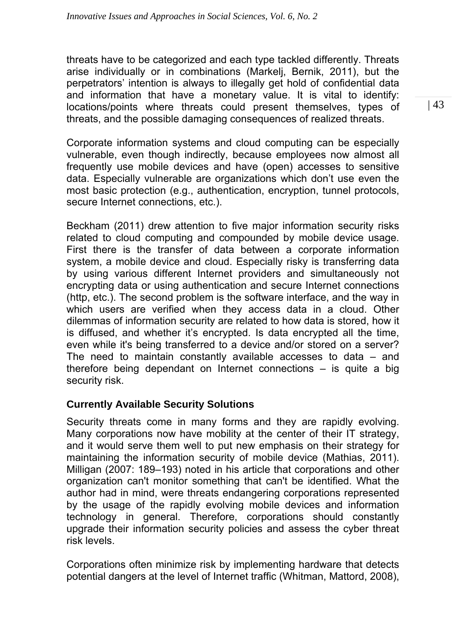threats have to be categorized and each type tackled differently. Threats arise individually or in combinations (Markelj, Bernik, 2011), but the perpetrators' intention is always to illegally get hold of confidential data and information that have a monetary value. It is vital to identify: locations/points where threats could present themselves, types of threats, and the possible damaging consequences of realized threats.

Corporate information systems and cloud computing can be especially vulnerable, even though indirectly, because employees now almost all frequently use mobile devices and have (open) accesses to sensitive data. Especially vulnerable are organizations which don't use even the most basic protection (e.g., authentication, encryption, tunnel protocols, secure Internet connections, etc.).

Beckham (2011) drew attention to five major information security risks related to cloud computing and compounded by mobile device usage. First there is the transfer of data between a corporate information system, a mobile device and cloud. Especially risky is transferring data by using various different Internet providers and simultaneously not encrypting data or using authentication and secure Internet connections (http, etc.). The second problem is the software interface, and the way in which users are verified when they access data in a cloud. Other dilemmas of information security are related to how data is stored, how it is diffused, and whether it's encrypted. Is data encrypted all the time, even while it's being transferred to a device and/or stored on a server? The need to maintain constantly available accesses to data – and therefore being dependant on Internet connections – is quite a big security risk.

# **Currently Available Security Solutions**

Security threats come in many forms and they are rapidly evolving. Many corporations now have mobility at the center of their IT strategy, and it would serve them well to put new emphasis on their strategy for maintaining the information security of mobile device (Mathias, 2011). Milligan (2007: 189–193) noted in his article that corporations and other organization can't monitor something that can't be identified. What the author had in mind, were threats endangering corporations represented by the usage of the rapidly evolving mobile devices and information technology in general. Therefore, corporations should constantly upgrade their information security policies and assess the cyber threat risk levels.

Corporations often minimize risk by implementing hardware that detects potential dangers at the level of Internet traffic (Whitman, Mattord, 2008),  $|43|$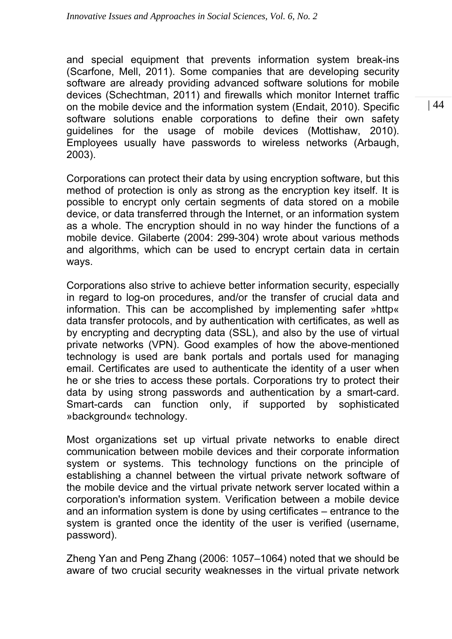and special equipment that prevents information system break-ins (Scarfone, Mell, 2011). Some companies that are developing security software are already providing advanced software solutions for mobile devices (Schechtman, 2011) and firewalls which monitor Internet traffic on the mobile device and the information system (Endait, 2010). Specific software solutions enable corporations to define their own safety guidelines for the usage of mobile devices (Mottishaw, 2010). Employees usually have passwords to wireless networks (Arbaugh, 2003).

Corporations can protect their data by using encryption software, but this method of protection is only as strong as the encryption key itself. It is possible to encrypt only certain segments of data stored on a mobile device, or data transferred through the Internet, or an information system as a whole. The encryption should in no way hinder the functions of a mobile device. Gilaberte (2004: 299-304) wrote about various methods and algorithms, which can be used to encrypt certain data in certain ways.

Corporations also strive to achieve better information security, especially in regard to log-on procedures, and/or the transfer of crucial data and information. This can be accomplished by implementing safer »http« data transfer protocols, and by authentication with certificates, as well as by encrypting and decrypting data (SSL), and also by the use of virtual private networks (VPN). Good examples of how the above-mentioned technology is used are bank portals and portals used for managing email. Certificates are used to authenticate the identity of a user when he or she tries to access these portals. Corporations try to protect their data by using strong passwords and authentication by a smart-card. Smart-cards can function only, if supported by sophisticated »background« technology.

Most organizations set up virtual private networks to enable direct communication between mobile devices and their corporate information system or systems. This technology functions on the principle of establishing a channel between the virtual private network software of the mobile device and the virtual private network server located within a corporation's information system. Verification between a mobile device and an information system is done by using certificates – entrance to the system is granted once the identity of the user is verified (username, password).

Zheng Yan and Peng Zhang (2006: 1057–1064) noted that we should be aware of two crucial security weaknesses in the virtual private network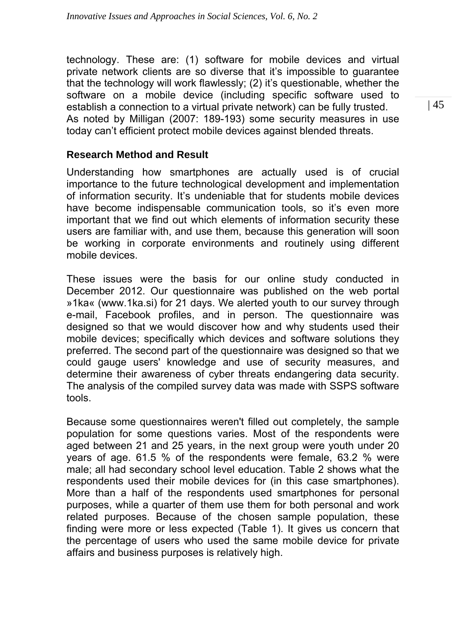technology. These are: (1) software for mobile devices and virtual private network clients are so diverse that it's impossible to guarantee that the technology will work flawlessly; (2) it's questionable, whether the software on a mobile device (including specific software used to establish a connection to a virtual private network) can be fully trusted. As noted by Milligan (2007: 189-193) some security measures in use today can't efficient protect mobile devices against blended threats.

# **Research Method and Result**

Understanding how smartphones are actually used is of crucial importance to the future technological development and implementation of information security. It's undeniable that for students mobile devices have become indispensable communication tools, so it's even more important that we find out which elements of information security these users are familiar with, and use them, because this generation will soon be working in corporate environments and routinely using different mobile devices.

These issues were the basis for our online study conducted in December 2012. Our questionnaire was published on the web portal »1ka« (www.1ka.si) for 21 days. We alerted youth to our survey through e-mail, Facebook profiles, and in person. The questionnaire was designed so that we would discover how and why students used their mobile devices; specifically which devices and software solutions they preferred. The second part of the questionnaire was designed so that we could gauge users' knowledge and use of security measures, and determine their awareness of cyber threats endangering data security. The analysis of the compiled survey data was made with SSPS software tools.

Because some questionnaires weren't filled out completely, the sample population for some questions varies. Most of the respondents were aged between 21 and 25 years, in the next group were youth under 20 years of age. 61.5 % of the respondents were female, 63.2 % were male; all had secondary school level education. Table 2 shows what the respondents used their mobile devices for (in this case smartphones). More than a half of the respondents used smartphones for personal purposes, while a quarter of them use them for both personal and work related purposes. Because of the chosen sample population, these finding were more or less expected (Table 1). It gives us concern that the percentage of users who used the same mobile device for private affairs and business purposes is relatively high.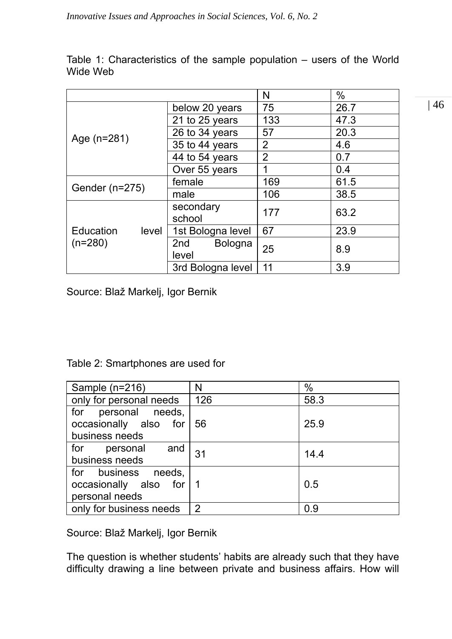|                                        |                         | N              | %    |
|----------------------------------------|-------------------------|----------------|------|
| Age (n=281)                            | below 20 years          | 75             | 26.7 |
|                                        | 21 to 25 years          | 133            | 47.3 |
|                                        | 26 to 34 years          | 57             | 20.3 |
|                                        | 35 to 44 years          | 2              | 4.6  |
|                                        | 44 to 54 years          | $\overline{2}$ | 0.7  |
|                                        | Over 55 years           | 1              | 0.4  |
| Gender (n=275)                         | female                  | 169            | 61.5 |
|                                        | male                    | 106            | 38.5 |
| <b>Education</b><br>level<br>$(n=280)$ | secondary<br>school     | 177            | 63.2 |
|                                        | 1st Bologna level       | 67             | 23.9 |
|                                        | Bologna<br>2nd<br>level | 25             | 8.9  |
|                                        | 3rd Bologna level       | 11             | 3.9  |

Table 1: Characteristics of the sample population – users of the World Wide Web

Source: Blaž Markelj, Igor Bernik

# Table 2: Smartphones are used for

| Sample (n=216)                                                   | N   | %    |
|------------------------------------------------------------------|-----|------|
| only for personal needs                                          | 126 | 58.3 |
| for personal needs,<br>occasionally also for<br>business needs   | 56  | 25.9 |
| for<br>and<br>personal<br>business needs                         | 31  | 14.4 |
| for business needs,<br>occasionally also for 1<br>personal needs |     | 0.5  |
| only for business needs                                          | 2   | 0.9  |

Source: Blaž Markelj, Igor Bernik

The question is whether students' habits are already such that they have difficulty drawing a line between private and business affairs. How will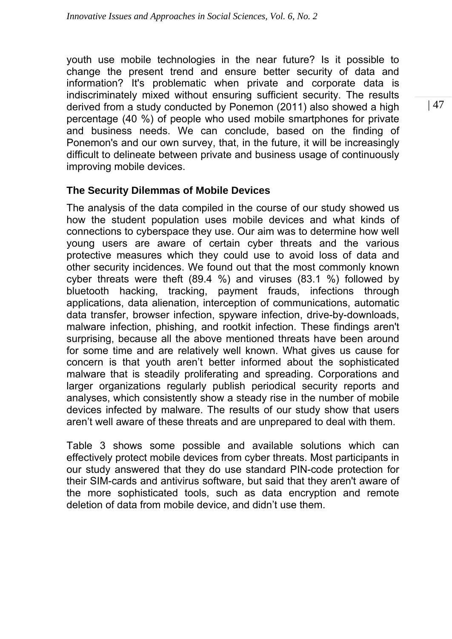youth use mobile technologies in the near future? Is it possible to change the present trend and ensure better security of data and information? It's problematic when private and corporate data is indiscriminately mixed without ensuring sufficient security. The results derived from a study conducted by Ponemon (2011) also showed a high percentage (40 %) of people who used mobile smartphones for private and business needs. We can conclude, based on the finding of Ponemon's and our own survey, that, in the future, it will be increasingly difficult to delineate between private and business usage of continuously improving mobile devices.

# **The Security Dilemmas of Mobile Devices**

The analysis of the data compiled in the course of our study showed us how the student population uses mobile devices and what kinds of connections to cyberspace they use. Our aim was to determine how well young users are aware of certain cyber threats and the various protective measures which they could use to avoid loss of data and other security incidences. We found out that the most commonly known cyber threats were theft (89.4 %) and viruses (83.1 %) followed by bluetooth hacking, tracking, payment frauds, infections through applications, data alienation, interception of communications, automatic data transfer, browser infection, spyware infection, drive-by-downloads, malware infection, phishing, and rootkit infection. These findings aren't surprising, because all the above mentioned threats have been around for some time and are relatively well known. What gives us cause for concern is that youth aren't better informed about the sophisticated malware that is steadily proliferating and spreading. Corporations and larger organizations regularly publish periodical security reports and analyses, which consistently show a steady rise in the number of mobile devices infected by malware. The results of our study show that users aren't well aware of these threats and are unprepared to deal with them.

Table 3 shows some possible and available solutions which can effectively protect mobile devices from cyber threats. Most participants in our study answered that they do use standard PIN-code protection for their SIM-cards and antivirus software, but said that they aren't aware of the more sophisticated tools, such as data encryption and remote deletion of data from mobile device, and didn't use them.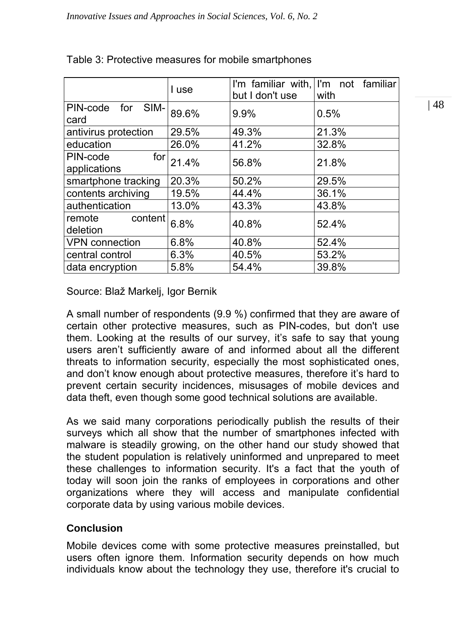|                                              | I use | but I don't use | I'm familiar with, I'm not familiar<br>with |
|----------------------------------------------|-------|-----------------|---------------------------------------------|
| PIN-code for SIM-<br>card                    | 89.6% | 9.9%            | 0.5%                                        |
| antivirus protection                         | 29.5% | 49.3%           | 21.3%                                       |
| education                                    | 26.0% | 41.2%           | 32.8%                                       |
| PIN-code<br>for <sub>l</sub><br>applications | 21.4% | 56.8%           | 21.8%                                       |
| smartphone tracking                          | 20.3% | 50.2%           | 29.5%                                       |
| contents archiving                           | 19.5% | 44.4%           | 36.1%                                       |
| authentication                               | 13.0% | 43.3%           | 43.8%                                       |
| content<br>remote<br>deletion                | 6.8%  | 40.8%           | 52.4%                                       |
| <b>VPN</b> connection                        | 6.8%  | 40.8%           | 52.4%                                       |
| central control                              | 6.3%  | 40.5%           | 53.2%                                       |
| data encryption                              | 5.8%  | 54.4%           | 39.8%                                       |

# Table 3: Protective measures for mobile smartphones

Source: Blaž Markelj, Igor Bernik

A small number of respondents (9.9 %) confirmed that they are aware of certain other protective measures, such as PIN-codes, but don't use them. Looking at the results of our survey, it's safe to say that young users aren't sufficiently aware of and informed about all the different threats to information security, especially the most sophisticated ones, and don't know enough about protective measures, therefore it's hard to prevent certain security incidences, misusages of mobile devices and data theft, even though some good technical solutions are available.

As we said many corporations periodically publish the results of their surveys which all show that the number of smartphones infected with malware is steadily growing, on the other hand our study showed that the student population is relatively uninformed and unprepared to meet these challenges to information security. It's a fact that the youth of today will soon join the ranks of employees in corporations and other organizations where they will access and manipulate confidential corporate data by using various mobile devices.

# **Conclusion**

Mobile devices come with some protective measures preinstalled, but users often ignore them. Information security depends on how much individuals know about the technology they use, therefore it's crucial to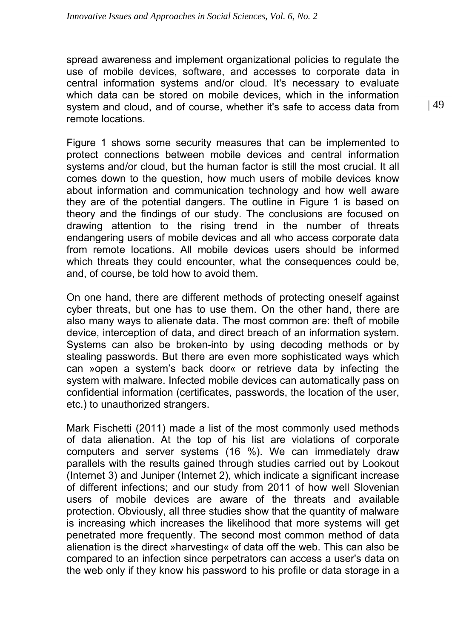spread awareness and implement organizational policies to regulate the use of mobile devices, software, and accesses to corporate data in central information systems and/or cloud. It's necessary to evaluate which data can be stored on mobile devices, which in the information system and cloud, and of course, whether it's safe to access data from remote locations.

Figure 1 shows some security measures that can be implemented to protect connections between mobile devices and central information systems and/or cloud, but the human factor is still the most crucial. It all comes down to the question, how much users of mobile devices know about information and communication technology and how well aware they are of the potential dangers. The outline in Figure 1 is based on theory and the findings of our study. The conclusions are focused on drawing attention to the rising trend in the number of threats endangering users of mobile devices and all who access corporate data from remote locations. All mobile devices users should be informed which threats they could encounter, what the consequences could be, and, of course, be told how to avoid them.

On one hand, there are different methods of protecting oneself against cyber threats, but one has to use them. On the other hand, there are also many ways to alienate data. The most common are: theft of mobile device, interception of data, and direct breach of an information system. Systems can also be broken-into by using decoding methods or by stealing passwords. But there are even more sophisticated ways which can »open a system's back door« or retrieve data by infecting the system with malware. Infected mobile devices can automatically pass on confidential information (certificates, passwords, the location of the user, etc.) to unauthorized strangers.

Mark Fischetti (2011) made a list of the most commonly used methods of data alienation. At the top of his list are violations of corporate computers and server systems (16 %). We can immediately draw parallels with the results gained through studies carried out by Lookout (Internet 3) and Juniper (Internet 2), which indicate a significant increase of different infections; and our study from 2011 of how well Slovenian users of mobile devices are aware of the threats and available protection. Obviously, all three studies show that the quantity of malware is increasing which increases the likelihood that more systems will get penetrated more frequently. The second most common method of data alienation is the direct »harvesting« of data off the web. This can also be compared to an infection since perpetrators can access a user's data on the web only if they know his password to his profile or data storage in a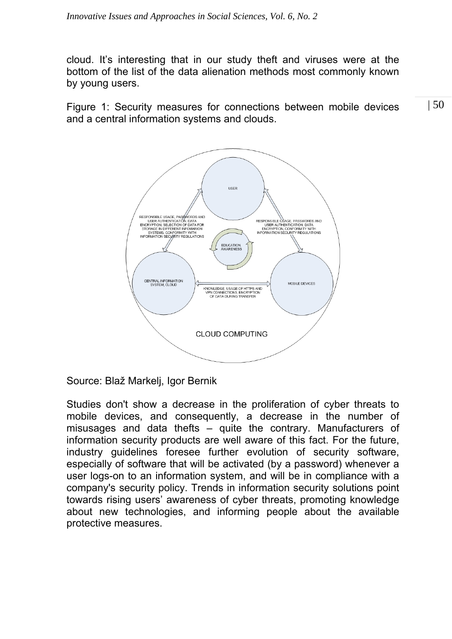cloud. It's interesting that in our study theft and viruses were at the bottom of the list of the data alienation methods most commonly known by young users.

 | 50 Figure 1: Security measures for connections between mobile devices and a central information systems and clouds.



Source: Blaž Markelj, Igor Bernik

Studies don't show a decrease in the proliferation of cyber threats to mobile devices, and consequently, a decrease in the number of misusages and data thefts – quite the contrary. Manufacturers of information security products are well aware of this fact. For the future, industry guidelines foresee further evolution of security software, especially of software that will be activated (by a password) whenever a user logs-on to an information system, and will be in compliance with a company's security policy. Trends in information security solutions point towards rising users' awareness of cyber threats, promoting knowledge about new technologies, and informing people about the available protective measures.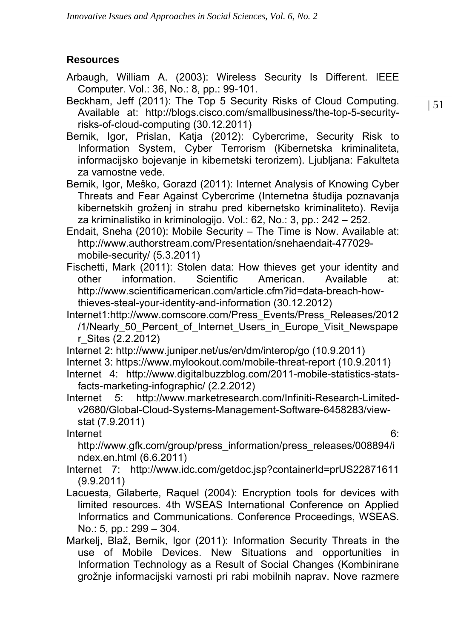# **Resources**

- Arbaugh, William A. (2003): Wireless Security Is Different. IEEE Computer. Vol.: 36, No.: 8, pp.: 99-101.
- Beckham, Jeff (2011): The Top 5 Security Risks of Cloud Computing. Available at: http://blogs.cisco.com/smallbusiness/the-top-5-securityrisks-of-cloud-computing (30.12.2011)
- Bernik, Igor, Prislan, Katja (2012): Cybercrime, Security Risk to Information System, Cyber Terrorism (Kibernetska kriminaliteta, informacijsko bojevanje in kibernetski terorizem). Ljubljana: Fakulteta za varnostne vede.
- Bernik, Igor, Meško, Gorazd (2011): Internet Analysis of Knowing Cyber Threats and Fear Against Cybercrime (Internetna študija poznavanja kibernetskih groženj in strahu pred kibernetsko kriminaliteto). Revija za kriminalistiko in kriminologijo. Vol.: 62, No.: 3, pp.: 242 – 252.
- Endait, Sneha (2010): Mobile Security The Time is Now. Available at: http://www.authorstream.com/Presentation/snehaendait-477029 mobile-security/ (5.3.2011)
- Fischetti, Mark (2011): Stolen data: How thieves get your identity and other information. Scientific American. Available at: http://www.scientificamerican.com/article.cfm?id=data-breach-howthieves-steal-your-identity-and-information (30.12.2012)
- Internet1:http://www.comscore.com/Press\_Events/Press\_Releases/2012 /1/Nearly 50 Percent of Internet Users in Europe Visit Newspape r\_Sites (2.2.2012)
- Internet 2: http://www.juniper.net/us/en/dm/interop/go (10.9.2011)
- Internet 3: https://www.mylookout.com/mobile-threat-report (10.9.2011)
- Internet 4: http://www.digitalbuzzblog.com/2011-mobile-statistics-statsfacts-marketing-infographic/ (2.2.2012)
- Internet 5: http://www.marketresearch.com/Infiniti-Research-Limitedv2680/Global-Cloud-Systems-Management-Software-6458283/viewstat (7.9.2011)

Internet 6:

http://www.gfk.com/group/press\_information/press\_releases/008894/i ndex.en.html (6.6.2011)

- Internet 7: http://www.idc.com/getdoc.jsp?containerId=prUS22871611 (9.9.2011)
- Lacuesta, Gilaberte, Raquel (2004): Encryption tools for devices with limited resources. 4th WSEAS International Conference on Applied Informatics and Communications. Conference Proceedings, WSEAS. No.: 5, pp.: 299 – 304.
- Markelj, Blaž, Bernik, Igor (2011): Information Security Threats in the use of Mobile Devices. New Situations and opportunities in Information Technology as a Result of Social Changes (Kombinirane grožnje informacijski varnosti pri rabi mobilnih naprav. Nove razmere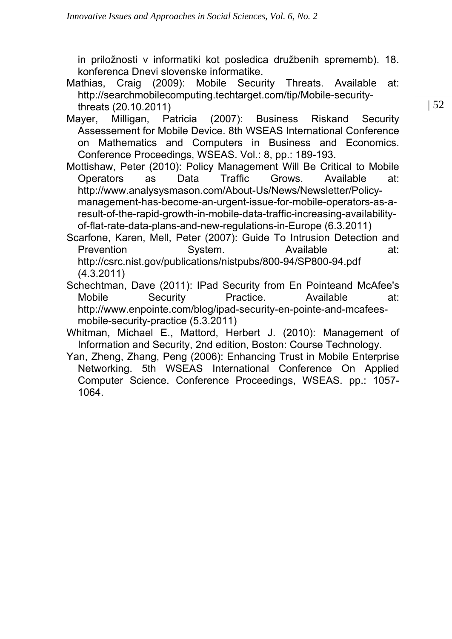in priložnosti v informatiki kot posledica družbenih sprememb). 18. konferenca Dnevi slovenske informatike.

Mathias, Craig (2009): Mobile Security Threats. Available at: http://searchmobilecomputing.techtarget.com/tip/Mobile-securitythreats (20.10.2011)

- Mayer, Milligan, Patricia (2007): Business Riskand Security Assessement for Mobile Device. 8th WSEAS International Conference on Mathematics and Computers in Business and Economics. Conference Proceedings, WSEAS. Vol.: 8, pp.: 189-193.
- Mottishaw, Peter (2010): Policy Management Will Be Critical to Mobile Operators as Data Traffic Grows. Available at: http://www.analysysmason.com/About-Us/News/Newsletter/Policymanagement-has-become-an-urgent-issue-for-mobile-operators-as-aresult-of-the-rapid-growth-in-mobile-data-traffic-increasing-availabilityof-flat-rate-data-plans-and-new-regulations-in-Europe (6.3.2011)

Scarfone, Karen, Mell, Peter (2007): Guide To Intrusion Detection and Prevention System. Available at: http://csrc.nist.gov/publications/nistpubs/800-94/SP800-94.pdf (4.3.2011)

- Schechtman, Dave (2011): IPad Security from En Pointeand McAfee's Mobile Security Practice. Available at: http://www.enpointe.com/blog/ipad-security-en-pointe-and-mcafeesmobile-security-practice (5.3.2011)
- Whitman, Michael E., Mattord, Herbert J. (2010): Management of Information and Security, 2nd edition, Boston: Course Technology.
- Yan, Zheng, Zhang, Peng (2006): Enhancing Trust in Mobile Enterprise Networking. 5th WSEAS International Conference On Applied Computer Science. Conference Proceedings, WSEAS. pp.: 1057- 1064.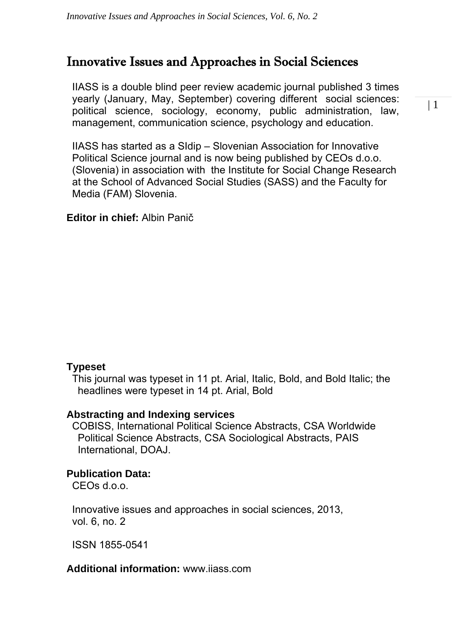# Innovative Issues and Approaches in Social Sciences

IIASS is a double blind peer review academic journal published 3 times yearly (January, May, September) covering different social sciences: political science, sociology, economy, public administration, law, management, communication science, psychology and education.

IIASS has started as a SIdip – Slovenian Association for Innovative Political Science journal and is now being published by CEOs d.o.o. (Slovenia) in association with the Institute for Social Change Research at the School of Advanced Social Studies (SASS) and the Faculty for Media (FAM) Slovenia.

### **Editor in chief:** Albin Panič

### **Typeset**

This journal was typeset in 11 pt. Arial, Italic, Bold, and Bold Italic; the headlines were typeset in 14 pt. Arial, Bold

## **Abstracting and Indexing services**

COBISS, International Political Science Abstracts, CSA Worldwide Political Science Abstracts, CSA Sociological Abstracts, PAIS International, DOAJ.

### **Publication Data:**

CEOs d.o.o.

Innovative issues and approaches in social sciences, 2013, vol. 6, no. 2

ISSN 1855-0541

### **Additional information:** www.iiass.com